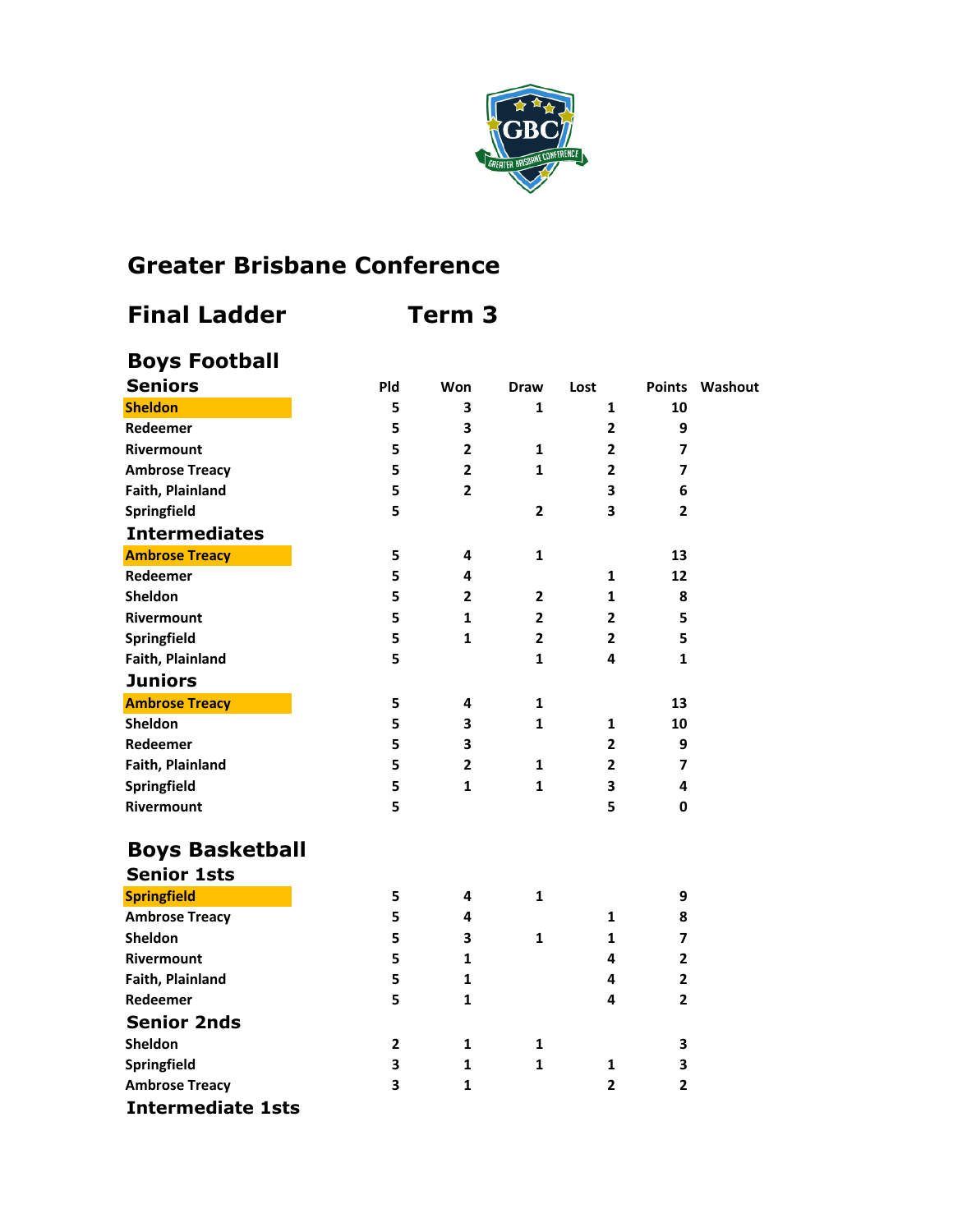

## **Greater Brisbane Conference**

## **Boys Football Seniors Pld Won Draw Lost Points Washout Sheldon 5 3 1 1 10 Redeemer 5 3 2 9 Rivermount 5 2 1 2 7 Ambrose Treacy 5 2 1 2 7 Faith, Plainland 5 2 3 6 Springfield 5 2 3 2 Intermediates Ambrose Treacy 5 4 1 13 Redeemer 5 4 1 12 Sheldon 5 2 2 1 8 Rivermount 5 1 2 2 5 Springfield 5 1 2 2 5 Faith, Plainland 5 1 4 1 Juniors Ambrose Treacy 5 4 1 13 Sheldon 5 3 1 1 10 Redeemer 5 3 2 9 Faith, Plainland 5 2 1 2 7 Springfield 5 1 1 3 4 Rivermount 5 5 0 Boys Basketball**

| <b>Senior 1sts</b>       |   |   |   |   |   |
|--------------------------|---|---|---|---|---|
| <b>Springfield</b>       | 5 | 4 | 1 |   | 9 |
| <b>Ambrose Treacy</b>    | 5 | 4 |   |   | 8 |
| Sheldon                  | 5 | 3 |   |   | 7 |
| <b>Rivermount</b>        | 5 |   |   | 4 | 2 |
| Faith, Plainland         | 5 |   |   | 4 | 2 |
| Redeemer                 | 5 |   |   | 4 | 2 |
| <b>Senior 2nds</b>       |   |   |   |   |   |
| Sheldon                  |   |   |   |   | 3 |
| Springfield              | 3 |   |   |   | 3 |
| <b>Ambrose Treacy</b>    | 3 |   |   | 2 | 2 |
| <b>Intermediate 1sts</b> |   |   |   |   |   |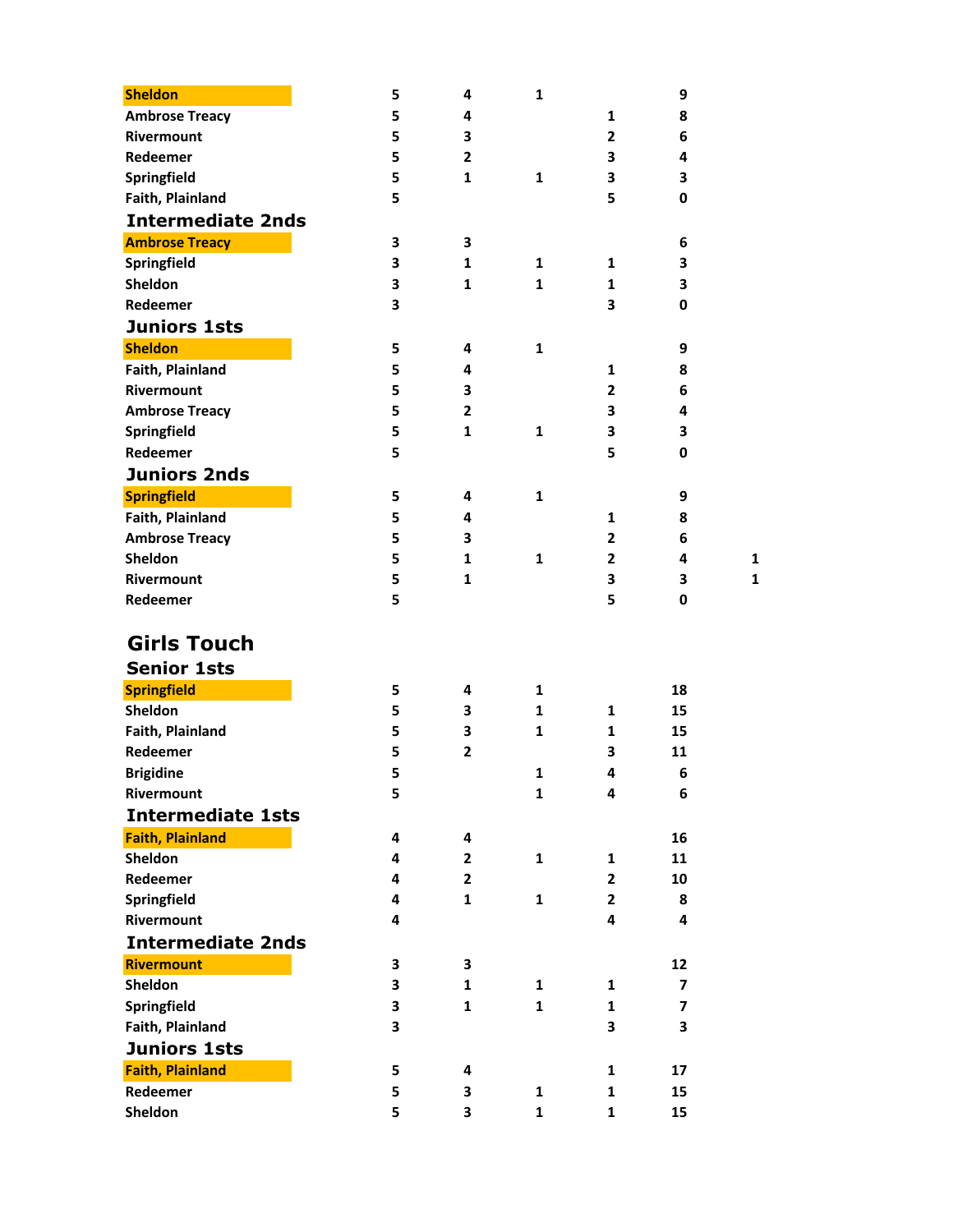| <b>Sheldon</b>           | 5 | 4              | 1            |                | 9                       |
|--------------------------|---|----------------|--------------|----------------|-------------------------|
| <b>Ambrose Treacy</b>    | 5 | 4              |              | 1              | 8                       |
| Rivermount               | 5 | 3              |              | $\overline{2}$ | 6                       |
| Redeemer                 | 5 | $\overline{2}$ |              | 3              | 4                       |
| Springfield              | 5 | $\mathbf{1}$   | $\mathbf{1}$ | 3              | 3                       |
| Faith, Plainland         | 5 |                |              | 5              | 0                       |
| <b>Intermediate 2nds</b> |   |                |              |                |                         |
| <b>Ambrose Treacy</b>    | 3 | 3              |              |                | 6                       |
| Springfield              | 3 | 1              | 1            | 1              | 3                       |
| <b>Sheldon</b>           | 3 | 1              | $\mathbf{1}$ | 1              | 3                       |
| Redeemer                 | 3 |                |              | 3              | $\mathbf 0$             |
| <b>Juniors 1sts</b>      |   |                |              |                |                         |
| <b>Sheldon</b>           | 5 | 4              | $\mathbf{1}$ |                | 9                       |
| Faith, Plainland         | 5 | 4              |              | 1              | 8                       |
| Rivermount               | 5 | 3              |              | $\overline{2}$ | 6                       |
| <b>Ambrose Treacy</b>    | 5 | $\overline{2}$ |              | 3              | 4                       |
| Springfield              | 5 | 1              | 1            | 3              | 3                       |
| Redeemer                 | 5 |                |              | 5              | $\mathbf 0$             |
| <b>Juniors 2nds</b>      |   |                |              |                |                         |
| <b>Springfield</b>       | 5 | 4              | 1            |                | 9                       |
| Faith, Plainland         | 5 | 4              |              | 1              | 8                       |
| <b>Ambrose Treacy</b>    | 5 | 3              |              | $\overline{2}$ | 6                       |
| Sheldon                  | 5 | 1              | $\mathbf{1}$ | $\overline{2}$ | 4                       |
| Rivermount               | 5 | $\mathbf{1}$   |              | 3              | 3                       |
| Redeemer                 | 5 |                |              | 5              | $\mathbf 0$             |
|                          |   |                |              |                |                         |
| <b>Girls Touch</b>       |   |                |              |                |                         |
| <b>Senior 1sts</b>       |   |                |              |                |                         |
| <b>Springfield</b>       | 5 | 4              | $\mathbf{1}$ |                | 18                      |
| Sheldon                  | 5 | 3              | $\mathbf{1}$ | 1              | 15                      |
| Faith, Plainland         | 5 | 3              | $\mathbf{1}$ | 1              | 15                      |
| Redeemer                 | 5 | $\mathbf{2}$   |              | 3              | 11                      |
| <b>Brigidine</b>         | 5 |                | 1            | 4              | 6                       |
| Rivermount               | 5 |                | 1            | 4              | 6                       |
| <b>Intermediate 1sts</b> |   |                |              |                |                         |
| <b>Faith, Plainland</b>  | 4 | 4              |              |                | 16                      |
| Sheldon                  | 4 | $\mathbf{2}$   | $\mathbf{1}$ | 1              | 11                      |
| Redeemer                 | 4 | $\mathbf{2}$   |              | $\overline{2}$ | 10                      |
| Springfield              | 4 | $\mathbf{1}$   | $\mathbf{1}$ | $\mathbf{2}$   | 8                       |
| Rivermount               | 4 |                |              | 4              | 4                       |
| <b>Intermediate 2nds</b> |   |                |              |                |                         |
| <b>Rivermount</b>        | 3 | 3              |              |                | 12                      |
| Sheldon                  | 3 | $\mathbf{1}$   | 1            | 1              | $\overline{\mathbf{z}}$ |
| Springfield              | 3 | $\mathbf{1}$   | $\mathbf{1}$ | 1              | $\overline{\mathbf{z}}$ |
| Faith, Plainland         | 3 |                |              | 3              | 3                       |
| <b>Juniors 1sts</b>      |   |                |              |                |                         |
| <b>Faith, Plainland</b>  | 5 | 4              |              | 1              | 17                      |
| Redeemer                 | 5 | 3              | $\mathbf{1}$ | 1              | 15                      |
| Sheldon                  | 5 | 3              | $\mathbf{1}$ | 1              | 15                      |